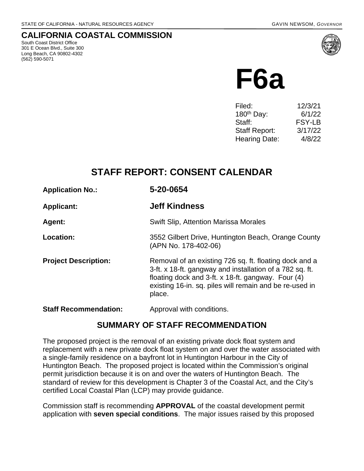### **CALIFORNIA COASTAL COMMISSION**

South Coast District Office 301 E Ocean Blvd., Suite 300 Long Beach, CA 90802-4302 (562) 590-5071



**F6a**

| Filed:                 | 12/3/21       |
|------------------------|---------------|
| 180 <sup>th</sup> Day: | 6/1/22        |
| Staff:                 | <b>FSY-LB</b> |
| Staff Report:          | 3/17/22       |
| <b>Hearing Date:</b>   | 4/8/22        |
|                        |               |

## **STAFF REPORT: CONSENT CALENDAR**

| <b>Application No.:</b>      | 5-20-0654                                                                                                                                                                                                                                     |
|------------------------------|-----------------------------------------------------------------------------------------------------------------------------------------------------------------------------------------------------------------------------------------------|
| <b>Applicant:</b>            | <b>Jeff Kindness</b>                                                                                                                                                                                                                          |
| Agent:                       | <b>Swift Slip, Attention Marissa Morales</b>                                                                                                                                                                                                  |
| Location:                    | 3552 Gilbert Drive, Huntington Beach, Orange County<br>(APN No. 178-402-06)                                                                                                                                                                   |
| <b>Project Description:</b>  | Removal of an existing 726 sq. ft. floating dock and a<br>3-ft. x 18-ft. gangway and installation of a 782 sq. ft.<br>floating dock and 3-ft. x 18-ft. gangway. Four (4)<br>existing 16-in. sq. piles will remain and be re-used in<br>place. |
| <b>Staff Recommendation:</b> | Approval with conditions.                                                                                                                                                                                                                     |

### **SUMMARY OF STAFF RECOMMENDATION**

The proposed project is the removal of an existing private dock float system and replacement with a new private dock float system on and over the water associated with a single-family residence on a bayfront lot in Huntington Harbour in the City of Huntington Beach. The proposed project is located within the Commission's original permit jurisdiction because it is on and over the waters of Huntington Beach. The standard of review for this development is Chapter 3 of the Coastal Act, and the City's certified Local Coastal Plan (LCP) may provide guidance.

Commission staff is recommending **APPROVAL** of the coastal development permit application with **seven special conditions**. The major issues raised by this proposed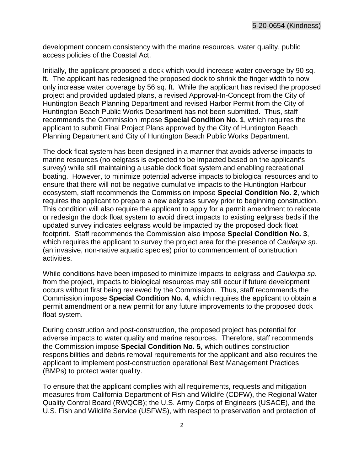development concern consistency with the marine resources, water quality, public access policies of the Coastal Act.

Initially, the applicant proposed a dock which would increase water coverage by 90 sq. ft. The applicant has redesigned the proposed dock to shrink the finger width to now only increase water coverage by 56 sq. ft. While the applicant has revised the proposed project and provided updated plans, a revised Approval-In-Concept from the City of Huntington Beach Planning Department and revised Harbor Permit from the City of Huntington Beach Public Works Department has not been submitted. Thus, staff recommends the Commission impose **Special Condition No. 1**, which requires the applicant to submit Final Project Plans approved by the City of Huntington Beach Planning Department and City of Huntington Beach Public Works Department.

The dock float system has been designed in a manner that avoids adverse impacts to marine resources (no eelgrass is expected to be impacted based on the applicant's survey) while still maintaining a usable dock float system and enabling recreational boating. However, to minimize potential adverse impacts to biological resources and to ensure that there will not be negative cumulative impacts to the Huntington Harbour ecosystem, staff recommends the Commission impose **Special Condition No. 2**, which requires the applicant to prepare a new eelgrass survey prior to beginning construction. This condition will also require the applicant to apply for a permit amendment to relocate or redesign the dock float system to avoid direct impacts to existing eelgrass beds if the updated survey indicates eelgrass would be impacted by the proposed dock float footprint. Staff recommends the Commission also impose **Special Condition No. 3**, which requires the applicant to survey the project area for the presence of *Caulerpa sp*. (an invasive, non-native aquatic species) prior to commencement of construction activities.

While conditions have been imposed to minimize impacts to eelgrass and *Caulerpa sp*. from the project, impacts to biological resources may still occur if future development occurs without first being reviewed by the Commission. Thus, staff recommends the Commission impose **Special Condition No. 4**, which requires the applicant to obtain a permit amendment or a new permit for any future improvements to the proposed dock float system.

During construction and post-construction, the proposed project has potential for adverse impacts to water quality and marine resources. Therefore, staff recommends the Commission impose **Special Condition No. 5**, which outlines construction responsibilities and debris removal requirements for the applicant and also requires the applicant to implement post-construction operational Best Management Practices (BMPs) to protect water quality.

To ensure that the applicant complies with all requirements, requests and mitigation measures from California Department of Fish and Wildlife (CDFW), the Regional Water Quality Control Board (RWQCB); the U.S. Army Corps of Engineers (USACE), and the U.S. Fish and Wildlife Service (USFWS), with respect to preservation and protection of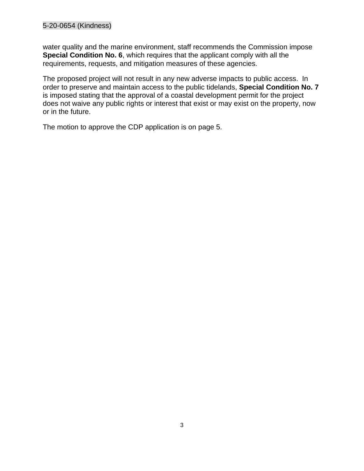#### 5-20-0654 (Kindness)

water quality and the marine environment, staff recommends the Commission impose **Special Condition No. 6**, which requires that the applicant comply with all the requirements, requests, and mitigation measures of these agencies.

The proposed project will not result in any new adverse impacts to public access. In order to preserve and maintain access to the public tidelands, **Special Condition No. 7** is imposed stating that the approval of a coastal development permit for the project does not waive any public rights or interest that exist or may exist on the property, now or in the future.

The motion to approve the CDP application is on page 5.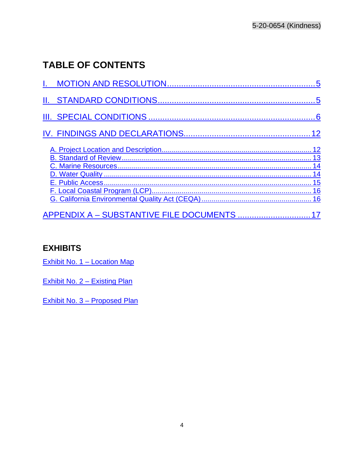# **TABLE OF CONTENTS**

| 15 |
|----|
|    |
|    |

## **EXHIBITS**

Exhibit No. 1 - Location Map

Exhibit No. 2 - Existing Plan

<span id="page-3-0"></span>Exhibit No. 3 - Proposed Plan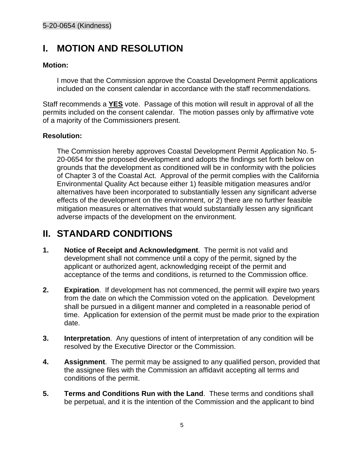## **I. MOTION AND RESOLUTION**

#### **Motion:**

I move that the Commission approve the Coastal Development Permit applications included on the consent calendar in accordance with the staff recommendations.

Staff recommends a **YES** vote. Passage of this motion will result in approval of all the permits included on the consent calendar. The motion passes only by affirmative vote of a majority of the Commissioners present.

#### **Resolution:**

The Commission hereby approves Coastal Development Permit Application No. 5- 20-0654 for the proposed development and adopts the findings set forth below on grounds that the development as conditioned will be in conformity with the policies of Chapter 3 of the Coastal Act. Approval of the permit complies with the California Environmental Quality Act because either 1) feasible mitigation measures and/or alternatives have been incorporated to substantially lessen any significant adverse effects of the development on the environment, or 2) there are no further feasible mitigation measures or alternatives that would substantially lessen any significant adverse impacts of the development on the environment.

## <span id="page-4-0"></span>**II. STANDARD CONDITIONS**

- **1. Notice of Receipt and Acknowledgment**. The permit is not valid and development shall not commence until a copy of the permit, signed by the applicant or authorized agent, acknowledging receipt of the permit and acceptance of the terms and conditions, is returned to the Commission office.
- **2. Expiration**. If development has not commenced, the permit will expire two years from the date on which the Commission voted on the application. Development shall be pursued in a diligent manner and completed in a reasonable period of time. Application for extension of the permit must be made prior to the expiration date.
- **3. Interpretation**. Any questions of intent of interpretation of any condition will be resolved by the Executive Director or the Commission.
- **4. Assignment**. The permit may be assigned to any qualified person, provided that the assignee files with the Commission an affidavit accepting all terms and conditions of the permit.
- **5. Terms and Conditions Run with the Land**. These terms and conditions shall be perpetual, and it is the intention of the Commission and the applicant to bind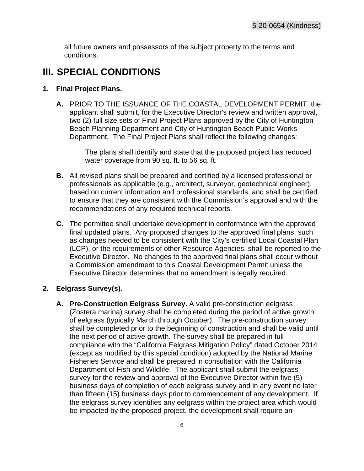all future owners and possessors of the subject property to the terms and conditions.

## <span id="page-5-0"></span>**III. SPECIAL CONDITIONS**

#### <span id="page-5-1"></span>**1. Final Project Plans.**

**A.** PRIOR TO THE ISSUANCE OF THE COASTAL DEVELOPMENT PERMIT, the applicant shall submit, for the Executive Director's review and written approval, two (2) full size sets of Final Project Plans approved by the City of Huntington Beach Planning Department and City of Huntington Beach Public Works Department. The Final Project Plans shall reflect the following changes:

> The plans shall identify and state that the proposed project has reduced water coverage from 90 sq. ft. to 56 sq. ft.

- **B.** All revised plans shall be prepared and certified by a licensed professional or professionals as applicable (e.g., architect, surveyor, geotechnical engineer), based on current information and professional standards, and shall be certified to ensure that they are consistent with the Commission's approval and with the recommendations of any required technical reports.
- **C.** The permittee shall undertake development in conformance with the approved final updated plans. Any proposed changes to the approved final plans, such as changes needed to be consistent with the City's certified Local Coastal Plan (LCP), or the requirements of other Resource Agencies, shall be reported to the Executive Director. No changes to the approved final plans shall occur without a Commission amendment to this Coastal Development Permit unless the Executive Director determines that no amendment is legally required.

#### **2. Eelgrass Survey(s).**

**A. Pre-Construction Eelgrass Survey.** A valid pre-construction eelgrass (Zostera marina) survey shall be completed during the period of active growth of eelgrass (typically March through October). The pre-construction survey shall be completed prior to the beginning of construction and shall be valid until the next period of active growth. The survey shall be prepared in full compliance with the "California Eelgrass Mitigation Policy" dated October 2014 (except as modified by this special condition) adopted by the National Marine Fisheries Service and shall be prepared in consultation with the California Department of Fish and Wildlife. The applicant shall submit the eelgrass survey for the review and approval of the Executive Director within five (5) business days of completion of each eelgrass survey and in any event no later than fifteen (15) business days prior to commencement of any development. If the eelgrass survey identifies any eelgrass within the project area which would be impacted by the proposed project, the development shall require an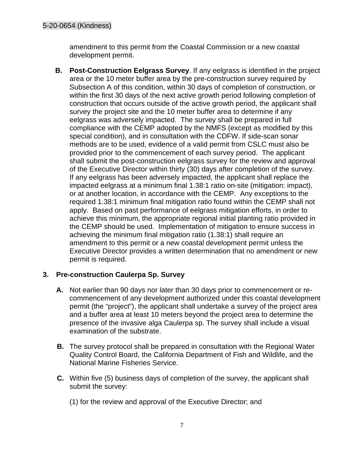amendment to this permit from the Coastal Commission or a new coastal development permit.

**B. Post-Construction Eelgrass Survey**. If any eelgrass is identified in the project area or the 10 meter buffer area by the pre-construction survey required by Subsection A of this condition, within 30 days of completion of construction, or within the first 30 days of the next active growth period following completion of construction that occurs outside of the active growth period, the applicant shall survey the project site and the 10 meter buffer area to determine if any eelgrass was adversely impacted. The survey shall be prepared in full compliance with the CEMP adopted by the NMFS (except as modified by this special condition), and in consultation with the CDFW. If side-scan sonar methods are to be used, evidence of a valid permit from CSLC must also be provided prior to the commencement of each survey period. The applicant shall submit the post-construction eelgrass survey for the review and approval of the Executive Director within thirty (30) days after completion of the survey. If any eelgrass has been adversely impacted, the applicant shall replace the impacted eelgrass at a minimum final 1.38:1 ratio on-site (mitigation: impact), or at another location, in accordance with the CEMP. Any exceptions to the required 1.38:1 minimum final mitigation ratio found within the CEMP shall not apply. Based on past performance of eelgrass mitigation efforts, in order to achieve this minimum, the appropriate regional initial planting ratio provided in the CEMP should be used. Implementation of mitigation to ensure success in achieving the minimum final mitigation ratio (1.38:1) shall require an amendment to this permit or a new coastal development permit unless the Executive Director provides a written determination that no amendment or new permit is required.

#### **3. Pre-construction Caulerpa Sp. Survey**

- **A.** Not earlier than 90 days nor later than 30 days prior to commencement or recommencement of any development authorized under this coastal development permit (the "project"), the applicant shall undertake a survey of the project area and a buffer area at least 10 meters beyond the project area to determine the presence of the invasive alga Caulerpa sp. The survey shall include a visual examination of the substrate.
- **B.** The survey protocol shall be prepared in consultation with the Regional Water Quality Control Board, the California Department of Fish and Wildlife, and the National Marine Fisheries Service.
- **C.** Within five (5) business days of completion of the survey, the applicant shall submit the survey:
	- (1) for the review and approval of the Executive Director; and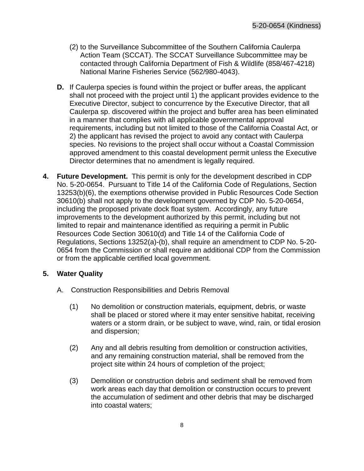- (2) to the Surveillance Subcommittee of the Southern California Caulerpa Action Team (SCCAT). The SCCAT Surveillance Subcommittee may be contacted through California Department of Fish & Wildlife (858/467-4218) National Marine Fisheries Service (562/980-4043).
- **D.** If Caulerpa species is found within the project or buffer areas, the applicant shall not proceed with the project until 1) the applicant provides evidence to the Executive Director, subject to concurrence by the Executive Director, that all Caulerpa sp. discovered within the project and buffer area has been eliminated in a manner that complies with all applicable governmental approval requirements, including but not limited to those of the California Coastal Act, or 2) the applicant has revised the project to avoid any contact with Caulerpa species. No revisions to the project shall occur without a Coastal Commission approved amendment to this coastal development permit unless the Executive Director determines that no amendment is legally required.
- **4. Future Development.** This permit is only for the development described in CDP No. 5-20-0654. Pursuant to Title 14 of the California Code of Regulations, Section 13253(b)(6), the exemptions otherwise provided in Public Resources Code Section 30610(b) shall not apply to the development governed by CDP No. 5-20-0654, including the proposed private dock float system. Accordingly, any future improvements to the development authorized by this permit, including but not limited to repair and maintenance identified as requiring a permit in Public Resources Code Section 30610(d) and Title 14 of the California Code of Regulations, Sections 13252(a)-(b), shall require an amendment to CDP No. 5-20- 0654 from the Commission or shall require an additional CDP from the Commission or from the applicable certified local government.

#### **5. Water Quality**

- A. Construction Responsibilities and Debris Removal
	- (1) No demolition or construction materials, equipment, debris, or waste shall be placed or stored where it may enter sensitive habitat, receiving waters or a storm drain, or be subject to wave, wind, rain, or tidal erosion and dispersion;
	- (2) Any and all debris resulting from demolition or construction activities, and any remaining construction material, shall be removed from the project site within 24 hours of completion of the project;
	- (3) Demolition or construction debris and sediment shall be removed from work areas each day that demolition or construction occurs to prevent the accumulation of sediment and other debris that may be discharged into coastal waters;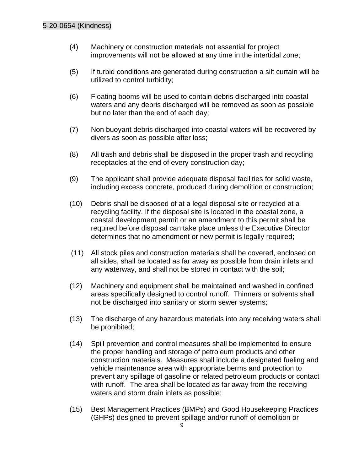- (4) Machinery or construction materials not essential for project improvements will not be allowed at any time in the intertidal zone;
- (5) If turbid conditions are generated during construction a silt curtain will be utilized to control turbidity;
- (6) Floating booms will be used to contain debris discharged into coastal waters and any debris discharged will be removed as soon as possible but no later than the end of each day;
- (7) Non buoyant debris discharged into coastal waters will be recovered by divers as soon as possible after loss;
- (8) All trash and debris shall be disposed in the proper trash and recycling receptacles at the end of every construction day;
- (9) The applicant shall provide adequate disposal facilities for solid waste, including excess concrete, produced during demolition or construction;
- (10) Debris shall be disposed of at a legal disposal site or recycled at a recycling facility. If the disposal site is located in the coastal zone, a coastal development permit or an amendment to this permit shall be required before disposal can take place unless the Executive Director determines that no amendment or new permit is legally required;
- (11) All stock piles and construction materials shall be covered, enclosed on all sides, shall be located as far away as possible from drain inlets and any waterway, and shall not be stored in contact with the soil;
- (12) Machinery and equipment shall be maintained and washed in confined areas specifically designed to control runoff. Thinners or solvents shall not be discharged into sanitary or storm sewer systems;
- (13) The discharge of any hazardous materials into any receiving waters shall be prohibited;
- (14) Spill prevention and control measures shall be implemented to ensure the proper handling and storage of petroleum products and other construction materials. Measures shall include a designated fueling and vehicle maintenance area with appropriate berms and protection to prevent any spillage of gasoline or related petroleum products or contact with runoff. The area shall be located as far away from the receiving waters and storm drain inlets as possible;
- (15) Best Management Practices (BMPs) and Good Housekeeping Practices (GHPs) designed to prevent spillage and/or runoff of demolition or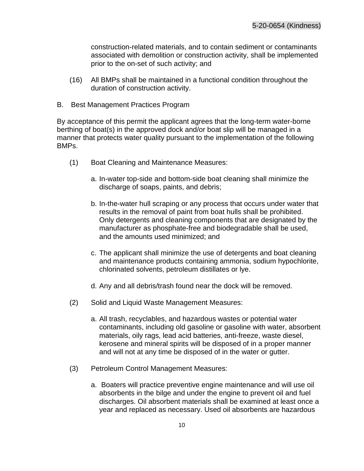construction-related materials, and to contain sediment or contaminants associated with demolition or construction activity, shall be implemented prior to the on-set of such activity; and

- (16) All BMPs shall be maintained in a functional condition throughout the duration of construction activity.
- B. Best Management Practices Program

By acceptance of this permit the applicant agrees that the long-term water-borne berthing of boat(s) in the approved dock and/or boat slip will be managed in a manner that protects water quality pursuant to the implementation of the following BMPs.

- (1) Boat Cleaning and Maintenance Measures:
	- a. In-water top-side and bottom-side boat cleaning shall minimize the discharge of soaps, paints, and debris;
	- b. In-the-water hull scraping or any process that occurs under water that results in the removal of paint from boat hulls shall be prohibited. Only detergents and cleaning components that are designated by the manufacturer as phosphate-free and biodegradable shall be used, and the amounts used minimized; and
	- c. The applicant shall minimize the use of detergents and boat cleaning and maintenance products containing ammonia, sodium hypochlorite, chlorinated solvents, petroleum distillates or lye.
	- d. Any and all debris/trash found near the dock will be removed.
- (2) Solid and Liquid Waste Management Measures:
	- a. All trash, recyclables, and hazardous wastes or potential water contaminants, including old gasoline or gasoline with water, absorbent materials, oily rags, lead acid batteries, anti-freeze, waste diesel, kerosene and mineral spirits will be disposed of in a proper manner and will not at any time be disposed of in the water or gutter.
- (3) Petroleum Control Management Measures:
	- a. Boaters will practice preventive engine maintenance and will use oil absorbents in the bilge and under the engine to prevent oil and fuel discharges. Oil absorbent materials shall be examined at least once a year and replaced as necessary. Used oil absorbents are hazardous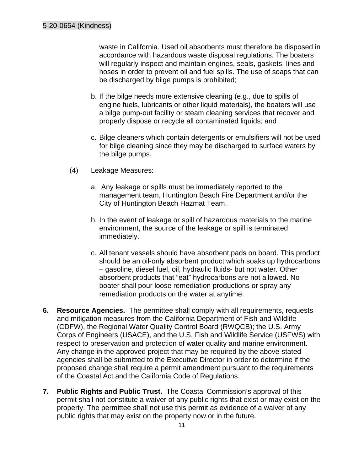waste in California. Used oil absorbents must therefore be disposed in accordance with hazardous waste disposal regulations. The boaters will regularly inspect and maintain engines, seals, gaskets, lines and hoses in order to prevent oil and fuel spills. The use of soaps that can be discharged by bilge pumps is prohibited;

- b. If the bilge needs more extensive cleaning (e.g., due to spills of engine fuels, lubricants or other liquid materials), the boaters will use a bilge pump-out facility or steam cleaning services that recover and properly dispose or recycle all contaminated liquids; and
- c. Bilge cleaners which contain detergents or emulsifiers will not be used for bilge cleaning since they may be discharged to surface waters by the bilge pumps.
- (4) Leakage Measures:
	- a. Any leakage or spills must be immediately reported to the management team, Huntington Beach Fire Department and/or the City of Huntington Beach Hazmat Team.
	- b. In the event of leakage or spill of hazardous materials to the marine environment, the source of the leakage or spill is terminated immediately.
	- c. All tenant vessels should have absorbent pads on board. This product should be an oil-only absorbent product which soaks up hydrocarbons – gasoline, diesel fuel, oil, hydraulic fluids- but not water. Other absorbent products that "eat" hydrocarbons are not allowed. No boater shall pour loose remediation productions or spray any remediation products on the water at anytime.
- **6. Resource Agencies.** The permittee shall comply with all requirements, requests and mitigation measures from the California Department of Fish and Wildlife (CDFW), the Regional Water Quality Control Board (RWQCB); the U.S. Army Corps of Engineers (USACE), and the U.S. Fish and Wildlife Service (USFWS) with respect to preservation and protection of water quality and marine environment. Any change in the approved project that may be required by the above-stated agencies shall be submitted to the Executive Director in order to determine if the proposed change shall require a permit amendment pursuant to the requirements of the Coastal Act and the California Code of Regulations.
- **7. Public Rights and Public Trust.** The Coastal Commission's approval of this permit shall not constitute a waiver of any public rights that exist or may exist on the property. The permittee shall not use this permit as evidence of a waiver of any public rights that may exist on the property now or in the future.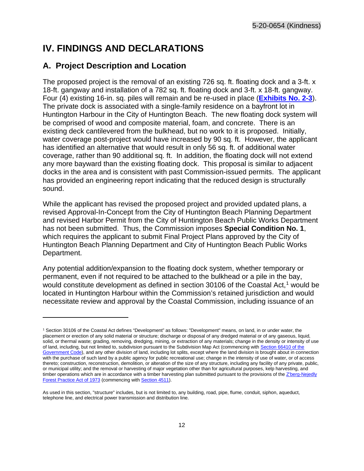## **IV. FINDINGS AND DECLARATIONS**

### <span id="page-11-0"></span>**A. Project Description and Location**

The proposed project is the removal of an existing 726 sq. ft. floating dock and a 3-ft. x 18-ft. gangway and installation of a 782 sq. ft. floating dock and 3-ft. x 18-ft. gangway. Four (4) existing 16-in. sq. piles will remain and be re-used in place (**[Exhibits No. 2-3](https://documents.coastal.ca.gov/reports/2022/4/F6a/F6a-4-2022-exhibits.pdf)**). The private dock is associated with a single-family residence on a bayfront lot in Huntington Harbour in the City of Huntington Beach. The new floating dock system will be comprised of wood and composite material, foam, and concrete. There is an existing deck cantilevered from the bulkhead, but no work to it is proposed. Initially, water coverage post-project would have increased by 90 sq. ft. However, the applicant has identified an alternative that would result in only 56 sq. ft. of additional water coverage, rather than 90 additional sq. ft. In addition, the floating dock will not extend any more bayward than the existing floating dock. This proposal is similar to adjacent docks in the area and is consistent with past Commission-issued permits. The applicant has provided an engineering report indicating that the reduced design is structurally sound.

While the applicant has revised the proposed project and provided updated plans, a revised Approval-In-Concept from the City of Huntington Beach Planning Department and revised Harbor Permit from the City of Huntington Beach Public Works Department has not been submitted. Thus, the Commission imposes **Special Condition No. 1**, which requires the applicant to submit Final Project Plans approved by the City of Huntington Beach Planning Department and City of Huntington Beach Public Works Department.

Any potential addition/expansion to the floating dock system, whether temporary or permanent, even if not required to be attached to the bulkhead or a pile in the bay, would constitute development as defined in section 30[1](#page-11-1)06 of the Coastal Act,<sup>1</sup> would be located in Huntington Harbour within the Commission's retained jurisdiction and would necessitate review and approval by the Coastal Commission, including issuance of an

<span id="page-11-1"></span><sup>1</sup> Section 30106 of the Coastal Act defines "Development" as follows: "Development" means, on land, in or under water, the placement or erection of any solid material or structure; discharge or disposal of any dredged material or of any gaseous, liquid, solid, or thermal waste; grading, removing, dredging, mining, or extraction of any materials; change in the density or intensity of use of land, including, but not limited to, subdivision pursuant to the Subdivision Map Act (commencing with Section 66410 of the [Government Code\)](http://leginfo.legislature.ca.gov/faces/codes_displayexpandedbranch.xhtml?tocCode=GOV&division=2.&title=7.&part=&chapter=&article=), and any other division of land, including lot splits, except where the land division is brought about in connection with the purchase of such land by a public agency for public recreational use; change in the intensity of use of water, or of access thereto; construction, reconstruction, demolition, or alteration of the size of any structure, including any facility of any private, public, or municipal utility; and the removal or harvesting of major vegetation other than for agricultural purposes, kelp harvesting, and timber operations which are in accordance with a timber harvesting plan submitted pursuant to the provisions of the Z'berg-Nejedly [Forest Practice Act of 1973](http://leginfo.legislature.ca.gov/faces/codes_displayexpandedbranch.xhtml?tocCode=PRC&division=4.&title=&part=2.&chapter=8.&article=) (commencing wit[h Section 4511\)](http://leginfo.legislature.ca.gov/faces/codes_displayexpandedbranch.xhtml?tocCode=PRC&division=4.&title=&part=2.&chapter=8.&article=).

As used in this section, "structure" includes, but is not limited to, any building, road, pipe, flume, conduit, siphon, aqueduct, telephone line, and electrical power transmission and distribution line.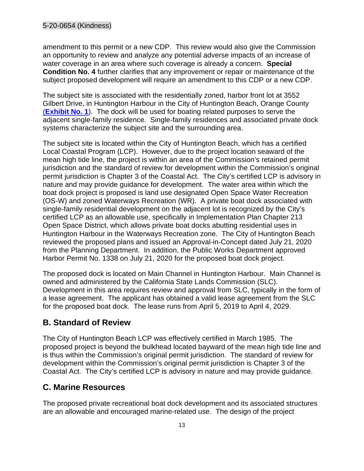amendment to this permit or a new CDP. This review would also give the Commission an opportunity to review and analyze any potential adverse impacts of an increase of water coverage in an area where such coverage is already a concern. **Special Condition No. 4** further clarifies that any improvement or repair or maintenance of the subject proposed development will require an amendment to this CDP or a new CDP.

<span id="page-12-0"></span>The subject site is associated with the residentially zoned, harbor front lot at 3552 Gilbert Drive, in Huntington Harbour in the City of Huntington Beach, Orange County (**[Exhibit No. 1](https://documents.coastal.ca.gov/reports/2022/4/F6a/F6a-4-2022-exhibits.pdf)**). The dock will be used for boating related purposes to serve the adjacent single-family residence. Single-family residences and associated private dock systems characterize the subject site and the surrounding area.

The subject site is located within the City of Huntington Beach, which has a certified Local Coastal Program (LCP). However, due to the project location seaward of the mean high tide line, the project is within an area of the Commission's retained permit jurisdiction and the standard of review for development within the Commission's original permit jurisdiction is Chapter 3 of the Coastal Act. The City's certified LCP is advisory in nature and may provide guidance for development. The water area within which the boat dock project is proposed is land use designated Open Space Water Recreation (OS-W) and zoned Waterways Recreation (WR). A private boat dock associated with single-family residential development on the adjacent lot is recognized by the City's certified LCP as an allowable use, specifically in Implementation Plan Chapter 213 Open Space District, which allows private boat docks abutting residential uses in Huntington Harbour in the Waterways Recreation zone. The City of Huntington Beach reviewed the proposed plans and issued an Approval-in-Concept dated July 21, 2020 from the Planning Department. In addition, the Public Works Department approved Harbor Permit No. 1338 on July 21, 2020 for the proposed boat dock project.

The proposed dock is located on Main Channel in Huntington Harbour. Main Channel is owned and administered by the California State Lands Commission (SLC). Development in this area requires review and approval from SLC, typically in the form of a lease agreement. The applicant has obtained a valid lease agreement from the SLC for the proposed boat dock. The lease runs from April 5, 2019 to April 4, 2029.

### **B. Standard of Review**

<span id="page-12-1"></span>The City of Huntington Beach LCP was effectively certified in March 1985. The proposed project is beyond the bulkhead located bayward of the mean high tide line and is thus within the Commission's original permit jurisdiction. The standard of review for development within the Commission's original permit jurisdiction is Chapter 3 of the Coastal Act. The City's certified LCP is advisory in nature and may provide guidance.

### **C. Marine Resources**

The proposed private recreational boat dock development and its associated structures are an allowable and encouraged marine-related use. The design of the project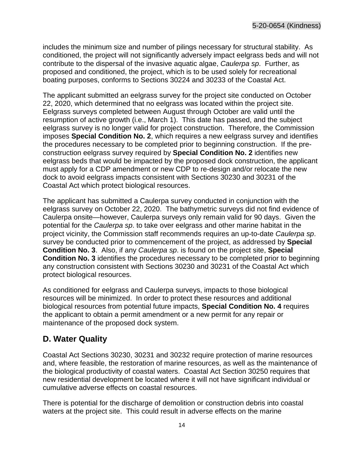includes the minimum size and number of pilings necessary for structural stability. As conditioned, the project will not significantly adversely impact eelgrass beds and will not contribute to the dispersal of the invasive aquatic algae, *Caulerpa sp*. Further, as proposed and conditioned, the project, which is to be used solely for recreational boating purposes, conforms to Sections 30224 and 30233 of the Coastal Act.

The applicant submitted an eelgrass survey for the project site conducted on October 22, 2020, which determined that no eelgrass was located within the project site. Eelgrass surveys completed between August through October are valid until the resumption of active growth (i.e., March 1). This date has passed, and the subject eelgrass survey is no longer valid for project construction. Therefore, the Commission imposes **Special Condition No. 2**, which requires a new eelgrass survey and identifies the procedures necessary to be completed prior to beginning construction. If the preconstruction eelgrass survey required by **Special Condition No. 2** identifies new eelgrass beds that would be impacted by the proposed dock construction, the applicant must apply for a CDP amendment or new CDP to re-design and/or relocate the new dock to avoid eelgrass impacts consistent with Sections 30230 and 30231 of the Coastal Act which protect biological resources.

The applicant has submitted a Caulerpa survey conducted in conjunction with the eelgrass survey on October 22, 2020. The bathymetric surveys did not find evidence of Caulerpa onsite—however, Caulerpa surveys only remain valid for 90 days. Given the potential for the *Caulerpa sp*. to take over eelgrass and other marine habitat in the project vicinity, the Commission staff recommends requires an up-to-date *Caulerpa sp*. survey be conducted prior to commencement of the project, as addressed by **Special Condition No. 3**. Also, if any *Caulerpa sp*. is found on the project site, **Special Condition No. 3** identifies the procedures necessary to be completed prior to beginning any construction consistent with Sections 30230 and 30231 of the Coastal Act which protect biological resources.

As conditioned for eelgrass and Caulerpa surveys, impacts to those biological resources will be minimized. In order to protect these resources and additional biological resources from potential future impacts, **Special Condition No. 4** requires the applicant to obtain a permit amendment or a new permit for any repair or maintenance of the proposed dock system.

### <span id="page-13-0"></span>**D. Water Quality**

Coastal Act Sections 30230, 30231 and 30232 require protection of marine resources and, where feasible, the restoration of marine resources, as well as the maintenance of the biological productivity of coastal waters. Coastal Act Section 30250 requires that new residential development be located where it will not have significant individual or cumulative adverse effects on coastal resources.

<span id="page-13-1"></span>There is potential for the discharge of demolition or construction debris into coastal waters at the project site. This could result in adverse effects on the marine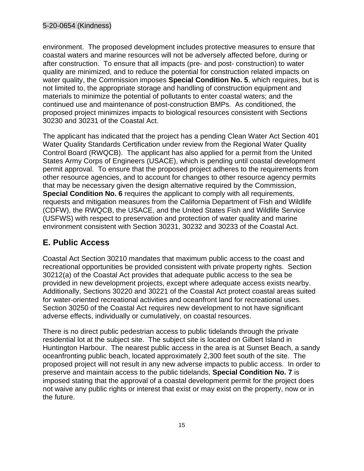environment. The proposed development includes protective measures to ensure that coastal waters and marine resources will not be adversely affected before, during or after construction. To ensure that all impacts (pre- and post- construction) to water quality are minimized, and to reduce the potential for construction related impacts on water quality, the Commission imposes **Special Condition No. 5**, which requires, but is not limited to, the appropriate storage and handling of construction equipment and materials to minimize the potential of pollutants to enter coastal waters; and the continued use and maintenance of post-construction BMPs. As conditioned, the proposed project minimizes impacts to biological resources consistent with Sections 30230 and 30231 of the Coastal Act.

The applicant has indicated that the project has a pending Clean Water Act Section 401 Water Quality Standards Certification under review from the Regional Water Quality Control Board (RWQCB). The applicant has also applied for a permit from the United States Army Corps of Engineers (USACE), which is pending until coastal development permit approval. To ensure that the proposed project adheres to the requirements from other resource agencies, and to account for changes to other resource agency permits that may be necessary given the design alternative required by the Commission, **Special Condition No. 6** requires the applicant to comply with all requirements, requests and mitigation measures from the California Department of Fish and Wildlife (CDFW), the RWQCB, the USACE, and the United States Fish and Wildlife Service (USFWS) with respect to preservation and protection of water quality and marine environment consistent with Section 30231, 30232 and 30233 of the Coastal Act.

## **E. Public Access**

Coastal Act Section 30210 mandates that maximum public access to the coast and recreational opportunities be provided consistent with private property rights. Section 30212(a) of the Coastal Act provides that adequate public access to the sea be provided in new development projects, except where adequate access exists nearby. Additionally, Sections 30220 and 30221 of the Coastal Act protect coastal areas suited for water-oriented recreational activities and oceanfront land for recreational uses. Section 30250 of the Coastal Act requires new development to not have significant adverse effects, individually or cumulatively, on coastal resources.

<span id="page-14-0"></span>There is no direct public pedestrian access to public tidelands through the private residential lot at the subject site. The subject site is located on Gilbert Island in Huntington Harbour. The nearest public access in the area is at Sunset Beach, a sandy oceanfronting public beach, located approximately 2,300 feet south of the site. The proposed project will not result in any new adverse impacts to public access. In order to preserve and maintain access to the public tidelands, **Special Condition No. 7** is imposed stating that the approval of a coastal development permit for the project does not waive any public rights or interest that exist or may exist on the property, now or in the future.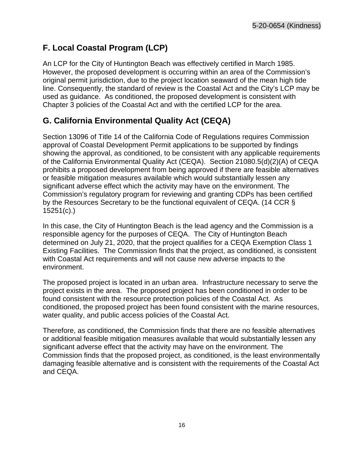### **F. Local Coastal Program (LCP)**

<span id="page-15-0"></span>An LCP for the City of Huntington Beach was effectively certified in March 1985. However, the proposed development is occurring within an area of the Commission's original permit jurisdiction, due to the project location seaward of the mean high tide line. Consequently, the standard of review is the Coastal Act and the City's LCP may be used as guidance. As conditioned, the proposed development is consistent with Chapter 3 policies of the Coastal Act and with the certified LCP for the area.

### **G. California Environmental Quality Act (CEQA)**

<span id="page-15-1"></span>Section 13096 of Title 14 of the California Code of Regulations requires Commission approval of Coastal Development Permit applications to be supported by findings showing the approval, as conditioned, to be consistent with any applicable requirements of the California Environmental Quality Act (CEQA). Section 21080.5(d)(2)(A) of CEQA prohibits a proposed development from being approved if there are feasible alternatives or feasible mitigation measures available which would substantially lessen any significant adverse effect which the activity may have on the environment. The Commission's regulatory program for reviewing and granting CDPs has been certified by the Resources Secretary to be the functional equivalent of CEQA. (14 CCR § 15251(c).)

In this case, the City of Huntington Beach is the lead agency and the Commission is a responsible agency for the purposes of CEQA. The City of Huntington Beach determined on July 21, 2020, that the project qualifies for a CEQA Exemption Class 1 Existing Facilities. The Commission finds that the project, as conditioned, is consistent with Coastal Act requirements and will not cause new adverse impacts to the environment.

The proposed project is located in an urban area. Infrastructure necessary to serve the project exists in the area. The proposed project has been conditioned in order to be found consistent with the resource protection policies of the Coastal Act. As conditioned, the proposed project has been found consistent with the marine resources, water quality, and public access policies of the Coastal Act.

Therefore, as conditioned, the Commission finds that there are no feasible alternatives or additional feasible mitigation measures available that would substantially lessen any significant adverse effect that the activity may have on the environment. The Commission finds that the proposed project, as conditioned, is the least environmentally damaging feasible alternative and is consistent with the requirements of the Coastal Act and CEQA.